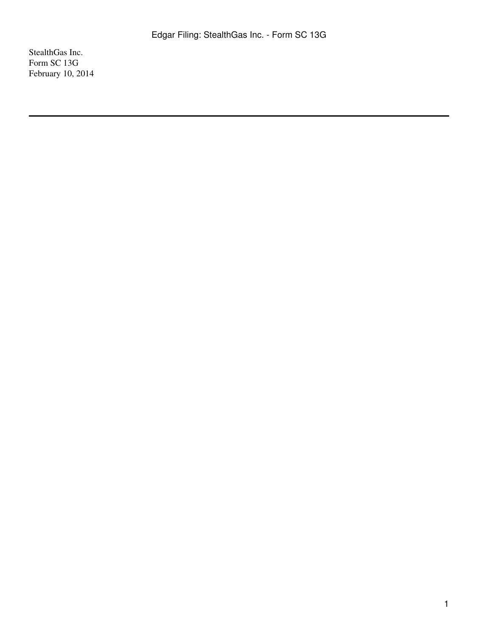StealthGas Inc. Form SC 13G February 10, 2014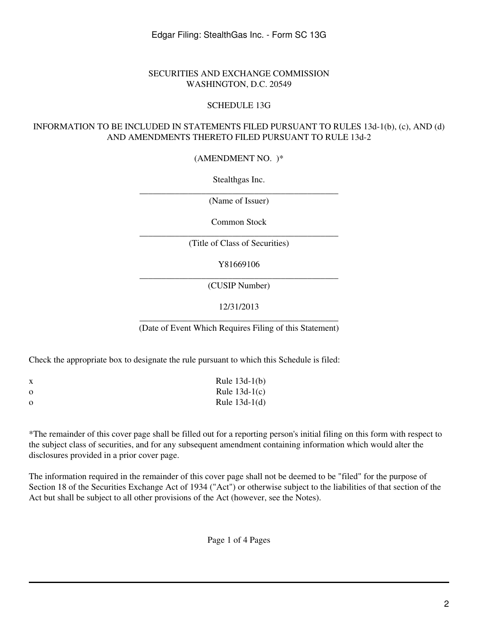## SECURITIES AND EXCHANGE COMMISSION WASHINGTON, D.C. 20549

## SCHEDULE 13G

## INFORMATION TO BE INCLUDED IN STATEMENTS FILED PURSUANT TO RULES 13d-1(b), (c), AND (d) AND AMENDMENTS THERETO FILED PURSUANT TO RULE 13d-2

(AMENDMENT NO. )\*

Stealthgas Inc.

\_\_\_\_\_\_\_\_\_\_\_\_\_\_\_\_\_\_\_\_\_\_\_\_\_\_\_\_\_\_\_\_\_\_\_\_\_\_\_\_\_\_\_\_\_ (Name of Issuer)

Common Stock

\_\_\_\_\_\_\_\_\_\_\_\_\_\_\_\_\_\_\_\_\_\_\_\_\_\_\_\_\_\_\_\_\_\_\_\_\_\_\_\_\_\_\_\_\_ (Title of Class of Securities)

Y81669106

\_\_\_\_\_\_\_\_\_\_\_\_\_\_\_\_\_\_\_\_\_\_\_\_\_\_\_\_\_\_\_\_\_\_\_\_\_\_\_\_\_\_\_\_\_ (CUSIP Number)

12/31/2013

\_\_\_\_\_\_\_\_\_\_\_\_\_\_\_\_\_\_\_\_\_\_\_\_\_\_\_\_\_\_\_\_\_\_\_\_\_\_\_\_\_\_\_\_\_ (Date of Event Which Requires Filing of this Statement)

Check the appropriate box to designate the rule pursuant to which this Schedule is filed:

| X        | Rule $13d-1(b)$ |
|----------|-----------------|
| $\Omega$ | Rule $13d-1(c)$ |
| $\Omega$ | Rule $13d-1(d)$ |

\*The remainder of this cover page shall be filled out for a reporting person's initial filing on this form with respect to the subject class of securities, and for any subsequent amendment containing information which would alter the disclosures provided in a prior cover page.

The information required in the remainder of this cover page shall not be deemed to be "filed" for the purpose of Section 18 of the Securities Exchange Act of 1934 ("Act") or otherwise subject to the liabilities of that section of the Act but shall be subject to all other provisions of the Act (however, see the Notes).

Page 1 of 4 Pages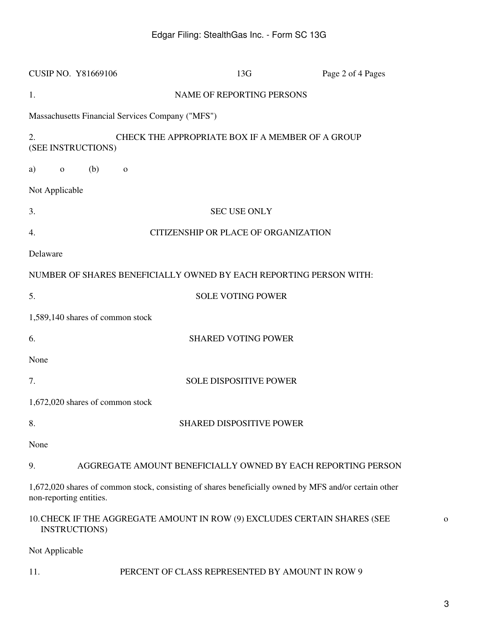| <b>CUSIP NO. Y81669106</b>                                                                                                       | 13G                                              | Page 2 of 4 Pages                                            |
|----------------------------------------------------------------------------------------------------------------------------------|--------------------------------------------------|--------------------------------------------------------------|
| 1.                                                                                                                               | NAME OF REPORTING PERSONS                        |                                                              |
| Massachusetts Financial Services Company ("MFS")                                                                                 |                                                  |                                                              |
| 2.<br>(SEE INSTRUCTIONS)                                                                                                         | CHECK THE APPROPRIATE BOX IF A MEMBER OF A GROUP |                                                              |
| (b)<br>a)<br>$\mathbf 0$<br>$\mathbf{O}$                                                                                         |                                                  |                                                              |
| Not Applicable                                                                                                                   |                                                  |                                                              |
| 3.                                                                                                                               | <b>SEC USE ONLY</b>                              |                                                              |
| 4.                                                                                                                               | CITIZENSHIP OR PLACE OF ORGANIZATION             |                                                              |
| Delaware                                                                                                                         |                                                  |                                                              |
| NUMBER OF SHARES BENEFICIALLY OWNED BY EACH REPORTING PERSON WITH:                                                               |                                                  |                                                              |
| 5.                                                                                                                               | <b>SOLE VOTING POWER</b>                         |                                                              |
| 1,589,140 shares of common stock                                                                                                 |                                                  |                                                              |
| 6.                                                                                                                               | <b>SHARED VOTING POWER</b>                       |                                                              |
| None                                                                                                                             |                                                  |                                                              |
| 7.                                                                                                                               | <b>SOLE DISPOSITIVE POWER</b>                    |                                                              |
| 1,672,020 shares of common stock                                                                                                 |                                                  |                                                              |
| 8.                                                                                                                               | <b>SHARED DISPOSITIVE POWER</b>                  |                                                              |
| None                                                                                                                             |                                                  |                                                              |
| 9.                                                                                                                               |                                                  | AGGREGATE AMOUNT BENEFICIALLY OWNED BY EACH REPORTING PERSON |
| 1,672,020 shares of common stock, consisting of shares beneficially owned by MFS and/or certain other<br>non-reporting entities. |                                                  |                                                              |
| 10. CHECK IF THE AGGREGATE AMOUNT IN ROW (9) EXCLUDES CERTAIN SHARES (SEE<br><b>INSTRUCTIONS</b> )                               |                                                  |                                                              |
| Not Applicable                                                                                                                   |                                                  |                                                              |

o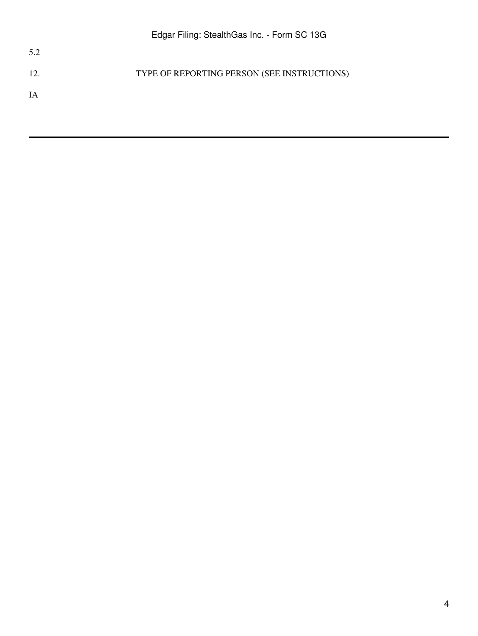12. TYPE OF REPORTING PERSON (SEE INSTRUCTIONS)

IA

5.2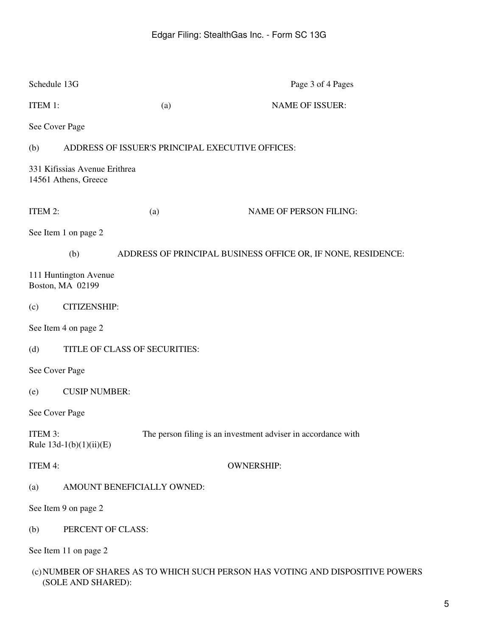| Schedule 13G   |                                                       |                            | Page 3 of 4 Pages                                                              |  |  |
|----------------|-------------------------------------------------------|----------------------------|--------------------------------------------------------------------------------|--|--|
| ITEM 1:        |                                                       | (a)                        | <b>NAME OF ISSUER:</b>                                                         |  |  |
| See Cover Page |                                                       |                            |                                                                                |  |  |
| (b)            | ADDRESS OF ISSUER'S PRINCIPAL EXECUTIVE OFFICES:      |                            |                                                                                |  |  |
|                | 331 Kifissias Avenue Erithrea<br>14561 Athens, Greece |                            |                                                                                |  |  |
| ITEM 2:        |                                                       | (a)                        | <b>NAME OF PERSON FILING:</b>                                                  |  |  |
|                | See Item 1 on page 2                                  |                            |                                                                                |  |  |
|                | (b)                                                   |                            | ADDRESS OF PRINCIPAL BUSINESS OFFICE OR, IF NONE, RESIDENCE:                   |  |  |
|                | 111 Huntington Avenue<br>Boston, MA 02199             |                            |                                                                                |  |  |
| (c)            | <b>CITIZENSHIP:</b>                                   |                            |                                                                                |  |  |
|                | See Item 4 on page 2                                  |                            |                                                                                |  |  |
| (d)            | TITLE OF CLASS OF SECURITIES:                         |                            |                                                                                |  |  |
| See Cover Page |                                                       |                            |                                                                                |  |  |
| (e)            | <b>CUSIP NUMBER:</b>                                  |                            |                                                                                |  |  |
| See Cover Page |                                                       |                            |                                                                                |  |  |
| ITEM 3:        | Rule 13d-1(b)(1)(ii)(E)                               |                            | The person filing is an investment adviser in accordance with                  |  |  |
| ITEM 4:        |                                                       |                            | <b>OWNERSHIP:</b>                                                              |  |  |
| (a)            |                                                       | AMOUNT BENEFICIALLY OWNED: |                                                                                |  |  |
|                | See Item 9 on page 2                                  |                            |                                                                                |  |  |
| (b)            | PERCENT OF CLASS:                                     |                            |                                                                                |  |  |
|                | See Item 11 on page 2                                 |                            |                                                                                |  |  |
|                |                                                       |                            | (c) NUMBER OF SHARES AS TO WHICH SUCH PERSON HAS VOTING AND DISPOSITIVE POWERS |  |  |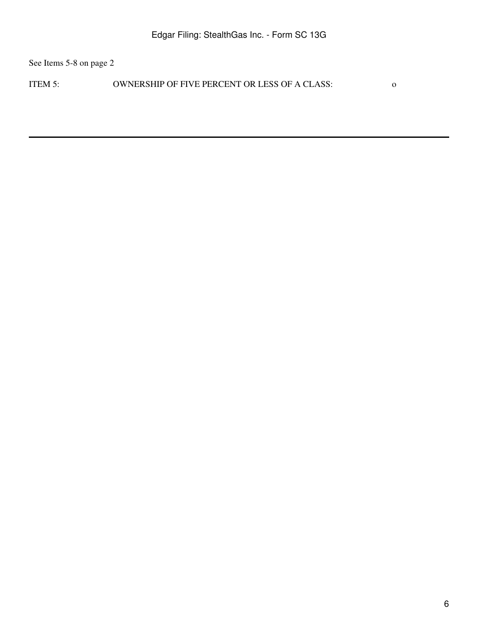See Items 5-8 on page 2

ITEM 5: OWNERSHIP OF FIVE PERCENT OR LESS OF A CLASS: 0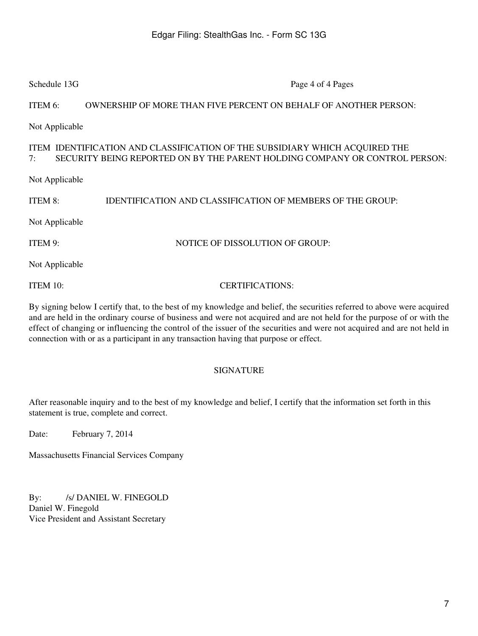| Schedule 13G                                                                                                                                                     | Page 4 of 4 Pages                                                 |  |  |  |
|------------------------------------------------------------------------------------------------------------------------------------------------------------------|-------------------------------------------------------------------|--|--|--|
| ITEM 6:                                                                                                                                                          | OWNERSHIP OF MORE THAN FIVE PERCENT ON BEHALF OF ANOTHER PERSON:  |  |  |  |
| Not Applicable                                                                                                                                                   |                                                                   |  |  |  |
| ITEM IDENTIFICATION AND CLASSIFICATION OF THE SUBSIDIARY WHICH ACQUIRED THE<br>SECURITY BEING REPORTED ON BY THE PARENT HOLDING COMPANY OR CONTROL PERSON:<br>7: |                                                                   |  |  |  |
| Not Applicable                                                                                                                                                   |                                                                   |  |  |  |
| ITEM 8:                                                                                                                                                          | <b>IDENTIFICATION AND CLASSIFICATION OF MEMBERS OF THE GROUP:</b> |  |  |  |
| Not Applicable                                                                                                                                                   |                                                                   |  |  |  |
| ITEM 9:                                                                                                                                                          | NOTICE OF DISSOLUTION OF GROUP:                                   |  |  |  |
| Not Applicable                                                                                                                                                   |                                                                   |  |  |  |
| ITEM 10:                                                                                                                                                         | <b>CERTIFICATIONS:</b>                                            |  |  |  |

By signing below I certify that, to the best of my knowledge and belief, the securities referred to above were acquired and are held in the ordinary course of business and were not acquired and are not held for the purpose of or with the effect of changing or influencing the control of the issuer of the securities and were not acquired and are not held in connection with or as a participant in any transaction having that purpose or effect.

## SIGNATURE

After reasonable inquiry and to the best of my knowledge and belief, I certify that the information set forth in this statement is true, complete and correct.

Date: February 7, 2014

Massachusetts Financial Services Company

By: /s/ DANIEL W. FINEGOLD Daniel W. Finegold Vice President and Assistant Secretary